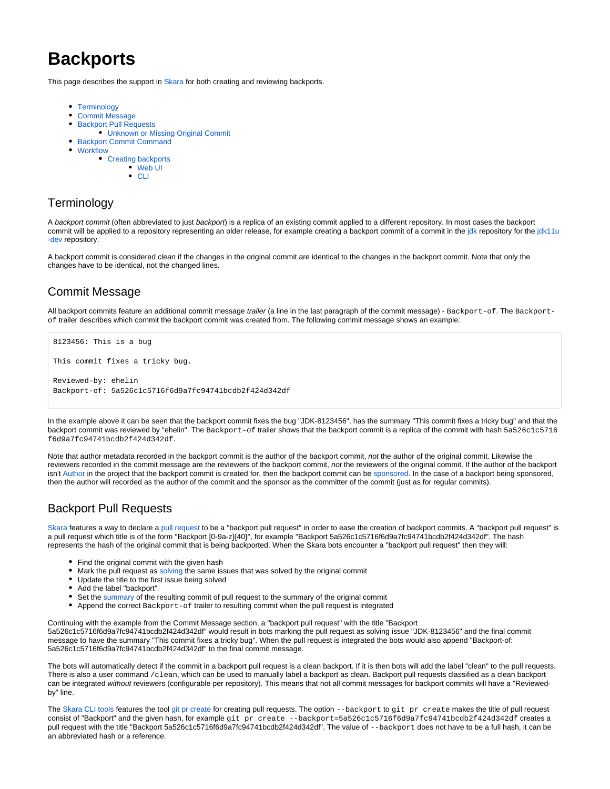# **Backports**

This page describes the support in [Skara](https://wiki.openjdk.java.net/display/skara) for both creating and reviewing backports.

- [Terminology](#page-0-0)
- [Commit Message](#page-0-1)
- [Backport Pull Requests](#page-0-2)
	- [Unknown or Missing Original Commit](#page-0-3)
- [Backport Commit Command](#page-1-0)
- [Workflow](#page-1-1)
	- [Creating backports](#page-1-2)
		- [Web UI](#page-1-3)
		- $\bullet$  [CLI](#page-1-4)

# <span id="page-0-0"></span>**Terminology**

A backport commit (often abbreviated to just backport) is a replica of an existing commit applied to a different repository. In most cases the backport commit will be applied to a repository representing an older release, for example creating a backport commit of a commit in the [jdk](https://github.com/openjdk/jdk) repository for the [jdk11u](https://github.com/openjdk/jdk11u-dev) [-dev](https://github.com/openjdk/jdk11u-dev) repository.

A backport commit is considered clean if the changes in the original commit are identical to the changes in the backport commit. Note that only the changes have to be identical, not the changed lines.

# <span id="page-0-1"></span>Commit Message

All backport commits feature an additional commit message trailer (a line in the last paragraph of the commit message) - Backport-of. The Backportof trailer describes which commit the backport commit was created from. The following commit message shows an example:

```
8123456: This is a bug
This commit fixes a tricky bug.
Reviewed-by: ehelin
Backport-of: 5a526c1c5716f6d9a7fc94741bcdb2f424d342df
```
In the example above it can be seen that the backport commit fixes the bug "JDK-8123456", has the summary "This commit fixes a tricky bug" and that the backport commit was reviewed by "ehelin". The Backport-of trailer shows that the backport commit is a replica of the commit with hash 5a526c1c5716 f6d9a7fc94741bcdb2f424d342df.

Note that author metadata recorded in the backport commit is the author of the backport commit, not the author of the original commit. Likewise the reviewers recorded in the commit message are the reviewers of the backport commit, not the reviewers of the original commit. If the author of the backport isn't [Author](https://openjdk.java.net/bylaws#author) in the project that the backport commit is created for, then the backport commit can be [sponsored](https://openjdk.java.net/bylaws#sponsor). In the case of a backport being sponsored, then the author will recorded as the author of the commit and the sponsor as the committer of the commit (just as for regular commits).

# <span id="page-0-2"></span>Backport Pull Requests

[Skara](https://wiki.openjdk.java.net/display/skara) features a way to declare a [pull request](https://wiki.openjdk.java.net/display/skara#Skara-Pullrequests) to be a "backport pull request" in order to ease the creation of backport commits. A "backport pull request" is a pull request which title is of the form "Backport [0-9a-z]{40}", for example "Backport 5a526c1c5716f6d9a7fc94741bcdb2f424d342df". The hash represents the hash of the original commit that is being backported. When the Skara bots encounter a "backport pull request" then they will:

- Find the original commit with the given hash
- Mark the pull request as [solving](https://wiki.openjdk.java.net/display/SKARA/Pull+Request+Commands#PullRequestCommands-/issue) the same issues that was solved by the original commit
- Update the title to the first issue being solved
- Add the label "backport"
- Set the [summary](https://wiki.openjdk.java.net/display/SKARA/Pull+Request+Commands) of the resulting commit of pull request to the summary of the original commit
- Append the correct Backport-of trailer to resulting commit when the pull request is integrated

Continuing with the example from the Commit Message section, a "backport pull request" with the title "Backport 5a526c1c5716f6d9a7fc94741bcdb2f424d342df" would result in bots marking the pull request as solving issue "JDK-8123456" and the final commit message to have the summary "This commit fixes a tricky bug". When the pull request is integrated the bots would also append "Backport-of: 5a526c1c5716f6d9a7fc94741bcdb2f424d342df" to the final commit message.

The bots will automatically detect if the commit in a backport pull request is a clean backport. If it is then bots will add the label "clean" to the pull requests. There is also a user command /clean, which can be used to manually label a backport as clean. Backport pull requests classified as a clean backport can be integrated without reviewers (configurable per repository). This means that not all commit messages for backport commits will have a "Reviewedby" line.

<span id="page-0-3"></span>The [Skara CLI tools](https://wiki.openjdk.java.net/display/SKARA/CLI+Tools) features the tool [git pr create](https://wiki.openjdk.java.net/display/SKARA/create) for creating pull requests. The option --backport to git pr create makes the title of pull request consist of "Backport" and the given hash, for example git pr create --backport=5a526c1c5716f6d9a7fc94741bcdb2f424d342df creates a pull request with the title "Backport 5a526c1c5716f6d9a7fc94741bcdb2f424d342df". The value of --backport does not have to be a full hash, it can be an abbreviated hash or a reference.